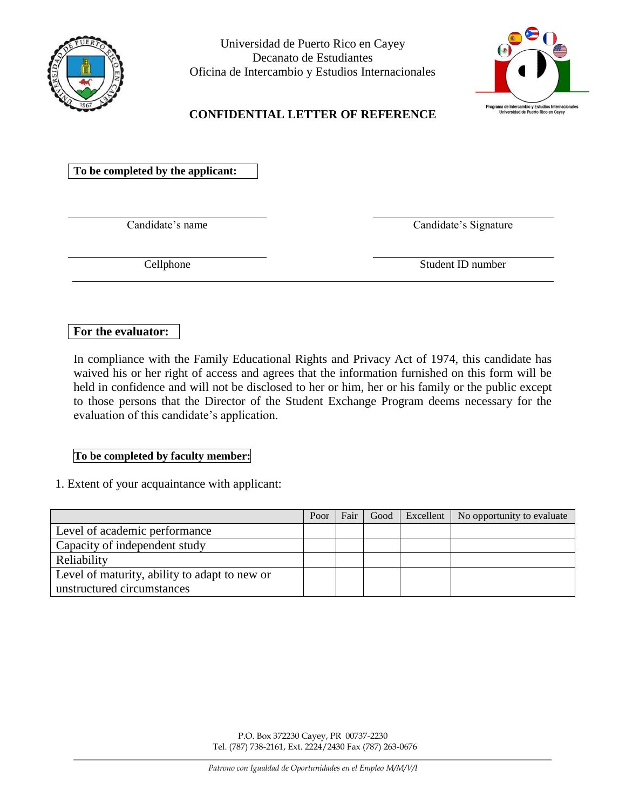

Universidad de Puerto Rico en Cayey Decanato de Estudiantes Oficina de Intercambio y Estudios Internacionales



## **CONFIDENTIAL LETTER OF REFERENCE**

**To be completed by the applicant:**

Candidate's name Candidate's Signature

Cellphone Student ID number

## **For the evaluator:**

In compliance with the Family Educational Rights and Privacy Act of 1974, this candidate has waived his or her right of access and agrees that the information furnished on this form will be held in confidence and will not be disclosed to her or him, her or his family or the public except to those persons that the Director of the Student Exchange Program deems necessary for the evaluation of this candidate's application.

## **To be completed by faculty member:**

1. Extent of your acquaintance with applicant:

|                                               | Poor | Fair | Good | Excellent   No opportunity to evaluate |
|-----------------------------------------------|------|------|------|----------------------------------------|
| Level of academic performance                 |      |      |      |                                        |
| Capacity of independent study                 |      |      |      |                                        |
| Reliability                                   |      |      |      |                                        |
| Level of maturity, ability to adapt to new or |      |      |      |                                        |
| unstructured circumstances                    |      |      |      |                                        |

P.O. Box 372230 Cayey, PR 00737-2230 Tel. (787) 738-2161, Ext. 2224/2430 Fax (787) 263-0676